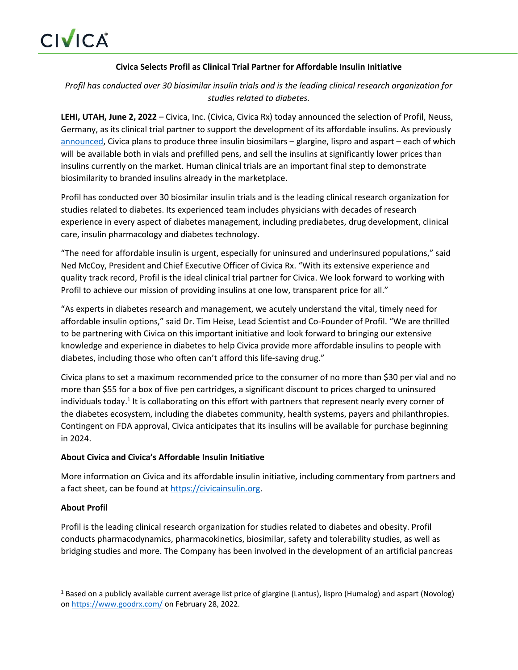## **Civica Selects Profil as Clinical Trial Partner for Affordable Insulin Initiative**

*Profil has conducted over 30 biosimilar insulin trials and is the leading clinical research organization for studies related to diabetes.*

**LEHI, UTAH, June 2, 2022** – Civica, Inc. (Civica, Civica Rx) today announced the selection of Profil, Neuss, Germany, as its clinical trial partner to support the development of its affordable insulins. As previously [announced,](https://civicarx.org/wp-content/uploads/2022/03/Civica-Affordable-Insulin-Press-Release-03.03.22.pdf) Civica plans to produce three insulin biosimilars – glargine, lispro and aspart – each of which will be available both in vials and prefilled pens, and sell the insulins at significantly lower prices than insulins currently on the market. Human clinical trials are an important final step to demonstrate biosimilarity to branded insulins already in the marketplace.

Profil has conducted over 30 biosimilar insulin trials and is the leading clinical research organization for studies related to diabetes. Its experienced team includes physicians with decades of research experience in every aspect of diabetes management, including prediabetes, drug development, clinical care, insulin pharmacology and diabetes technology.

"The need for affordable insulin is urgent, especially for uninsured and underinsured populations," said Ned McCoy, President and Chief Executive Officer of Civica Rx. "With its extensive experience and quality track record, Profil is the ideal clinical trial partner for Civica. We look forward to working with Profil to achieve our mission of providing insulins at one low, transparent price for all."

"As experts in diabetes research and management, we acutely understand the vital, timely need for affordable insulin options," said Dr. Tim Heise, Lead Scientist and Co-Founder of Profil. "We are thrilled to be partnering with Civica on this important initiative and look forward to bringing our extensive knowledge and experience in diabetes to help Civica provide more affordable insulins to people with diabetes, including those who often can't afford this life-saving drug."

Civica plans to set a maximum recommended price to the consumer of no more than \$30 per vial and no more than \$55 for a box of five pen cartridges, a significant discount to prices charged to uninsured individuals today.<sup>1</sup> It is collaborating on this effort with partners that represent nearly every corner of the diabetes ecosystem, including the diabetes community, health systems, payers and philanthropies. Contingent on FDA approval, Civica anticipates that its insulins will be available for purchase beginning in 2024.

## **About Civica and Civica's Affordable Insulin Initiative**

More information on Civica and its affordable insulin initiative, including commentary from partners and a fact sheet, can be found at https://civicainsulin.org.

## **About Profil**

Profil is the leading clinical research organization for studies related to diabetes and obesity. Profil conducts pharmacodynamics, pharmacokinetics, biosimilar, safety and tolerability studies, as well as bridging studies and more. The Company has been involved in the development of an artificial pancreas

<sup>&</sup>lt;sup>1</sup> Based on a publicly available current average list price of glargine (Lantus), lispro (Humalog) and aspart (Novolog) on https://www.goodrx.com/ on February 28, 2022.